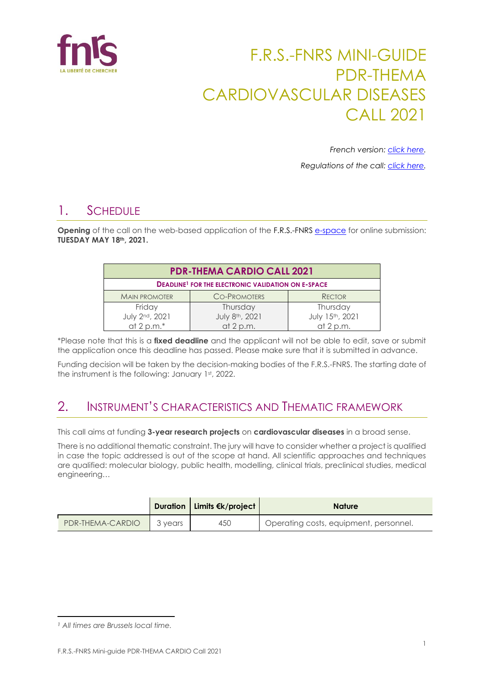

# F.R.S.-FNRS MINI-GUIDE PDR-THEMA CARDIOVASCULAR DISEASES CALL 2021

*French version: [click here.](https://www.frs-fnrs.be/docs/Reglement-et-documents/FRS-FNRS_MiniGuide_PDR_THEMA_2021_FR.pdf)*

*Regulations of the call: [click here.](https://www.frs-fnrs.be/docs/Reglement-et-documents/FRS-FNRS_REGL_PDR_THEMA_EN.pdf)*

# 1. SCHEDULE

**Opening** of the call on the web-based application of the F.R.S.-FNRS [e-space](https://e-space.frs-fnrs.be/) for online submission: **TUESDAY MAY 18th, 2021.**

| <b>PDR-THEMA CARDIO CALL 2021</b>                                    |                     |                 |  |  |  |
|----------------------------------------------------------------------|---------------------|-----------------|--|--|--|
| <b>DEADLINE<sup>1</sup></b> FOR THE ELECTRONIC VALIDATION ON E-SPACE |                     |                 |  |  |  |
| <b>MAIN PROMOTER</b>                                                 | <b>CO-PROMOTERS</b> | <b>RECTOR</b>   |  |  |  |
| Friday                                                               | Thursday            | Thursday        |  |  |  |
| July 2nd, 2021                                                       | July 8th, 2021      | July 15th, 2021 |  |  |  |
| at 2 p.m. $*$                                                        | at $2 p.m.$         | at $2 p.m.$     |  |  |  |

\*Please note that this is a **fixed deadline** and the applicant will not be able to edit, save or submit the application once this deadline has passed. Please make sure that it is submitted in advance.

Funding decision will be taken by the decision-making bodies of the F.R.S.-FNRS. The starting date of the instrument is the following: January 1st, 2022.

## 2. INSTRUMENT'S CHARACTERISTICS AND THEMATIC FRAMEWORK

This call aims at funding **3-year research projects** on **cardiovascular diseases** in a broad sense.

There is no additional thematic constraint. The jury will have to consider whether a project is qualified in case the topic addressed is out of the scope at hand. All scientific approaches and techniques are qualified: molecular biology, public health, modelling, clinical trials, preclinical studies, medical engineering…

|                  |         | <b>Duration   Limits €k/project  </b> | <b>Nature</b>                          |
|------------------|---------|---------------------------------------|----------------------------------------|
| PDR-THEMA-CARDIO | 3 vears | 450                                   | Operating costs, equipment, personnel. |

*<sup>1</sup> All times are Brussels local time.*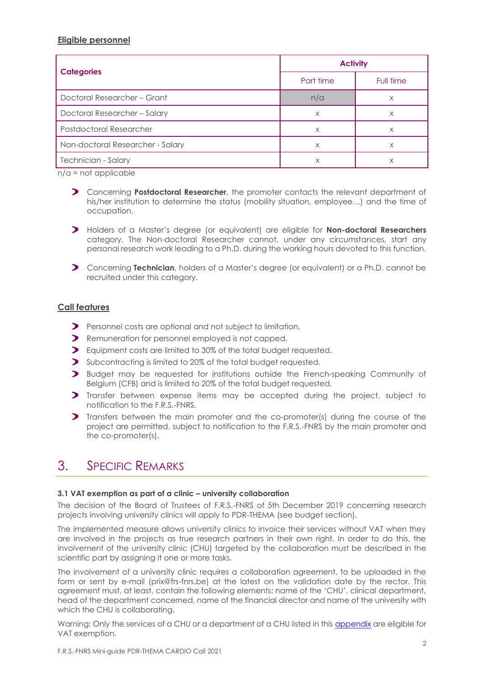### **Eligible personnel**

|                                  | <b>Activity</b> |           |  |
|----------------------------------|-----------------|-----------|--|
| <b>Categories</b>                | Part time       | Full time |  |
| Doctoral Researcher - Grant      | n/a             | X         |  |
| Doctoral Researcher - Salary     | X               | X         |  |
| Postdoctoral Researcher          | X               | X         |  |
| Non-doctoral Researcher - Salary | Χ               | X         |  |
| Technician - Salary              | Χ               | X         |  |

n/a = not applicable

- Concerning **Postdoctoral Researcher**, the promoter contacts the relevant department of his/her institution to determine the status (mobility situation, employee…) and the time of occupation.
- Holders of a Master's degree (or equivalent) are eligible for **Non-doctoral Researchers** category. The Non-doctoral Researcher cannot, under any circumstances, start any personal research work leading to a Ph.D. during the working hours devoted to this function.
- Concerning **Technician**, holders of a Master's degree (or equivalent) or a Ph.D. cannot be recruited under this category.

### **Call features**

- Personnel costs are optional and not subject to limitation.
- **P** Remuneration for personnel employed is not capped.
- Equipment costs are limited to 30% of the total budget requested.
- Subcontracting is limited to 20% of the total budget requested.
- **D** Budget may be requested for institutions outside the French-speaking Community of Belgium (CFB) and is limited to 20% of the total budget requested.
- Transfer between expense items may be accepted during the project, subject to notification to the F.R.S.-FNRS.
- Transfers between the main promoter and the co-promoter(s) during the course of the project are permitted, subject to notification to the F.R.S.-FNRS by the main promoter and the co-promoter(s).

### 3. SPECIFIC REMARKS

#### **3.1 VAT exemption as part of a clinic – university collaboration**

The decision of the Board of Trustees of F.R.S.-FNRS of 5th December 2019 concerning research projects involving university clinics will apply to PDR-THEMA (see budget section).

The implemented measure allows university clinics to invoice their services without VAT when they are involved in the projects as true research partners in their own right. In order to do this, the involvement of the university clinic (CHU) targeted by the collaboration must be described in the scientific part by assigning it one or more tasks.

The involvement of a university clinic requires a collaboration agreement, to be uploaded in the form or sent by e-mail (prix@frs-fnrs.be) at the latest on the validation date by the rector. This agreement must, at least, contain the following elements: name of the 'CHU', clinical department, head of the department concerned, name of the financial director and name of the university with which the CHU is collaborating.

Warning: Only the services of a CHU or a department of a CHU listed in this [appendix](https://e-space.frs-fnrs.be/documents_publics/ressource/ANNEXE_CHU.pdf) are eligible for VAT exemption.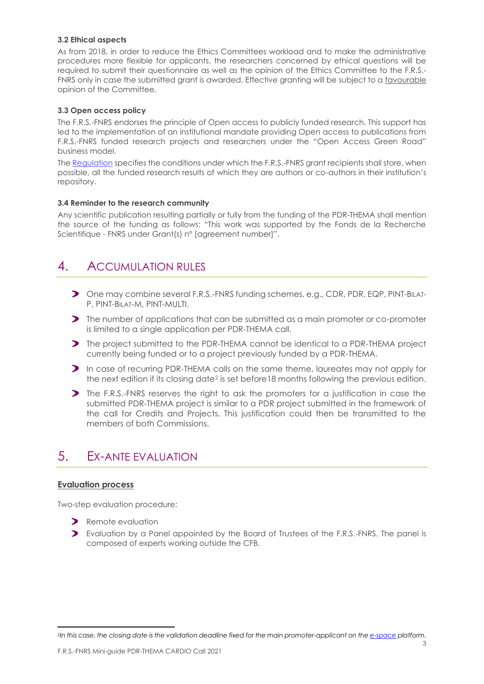#### **3.2 Ethical aspects**

As from 2018, in order to reduce the Ethics Committees workload and to make the administrative procedures more flexible for applicants, the researchers concerned by ethical questions will be required to submit their questionnaire as well as the opinion of the Ethics Committee to the F.R.S.- FNRS only in case the submitted grant is awarded. Effective granting will be subject to a favourable opinion of the Committee.

#### **3.3 Open access policy**

The F.R.S.-FNRS endorses the principle of Open access to publicly funded research. This support has led to the implementation of an institutional mandate providing Open access to publications from F.R.S.-FNRS funded research projects and researchers under the "Open Access Green Road" business model.

The [Regulation](https://www.frs-fnrs.be/docs/Reglement_OPEN_ACCESS_EN.pdf) specifies the conditions under which the F.R.S.-FNRS grant recipients shall store, when possible, all the funded research results of which they are authors or co-authors in their institution's repository.

#### **3.4 Reminder to the research community**

Any scientific publication resulting partially or fully from the funding of the PDR-THEMA shall mention the source of the funding as follows: "This work was supported by the Fonds de la Recherche Scientifique - FNRS under Grant(s) n° [agreement number]".

### 4. ACCUMULATION RULES

- One may combine several F.R.S.-FNRS funding schemes, e.g., CDR, PDR, EQP, PINT-BILAT-P, PINT-BILAT-M, PINT-MULTI.
- **The number of applications that can be submitted as a main promoter or co-promoter** is limited to a single application per PDR-THEMA call.
- The project submitted to the PDR-THEMA cannot be identical to a PDR-THEMA project currently being funded or to a project previously funded by a PDR-THEMA.
- In case of recurring PDR-THEMA calls on the same theme, laureates may not apply for the next edition if its closing date<sup>2</sup> is set before18 months following the previous edition.
- The F.R.S.-FNRS reserves the right to ask the promoters for a justification in case the submitted PDR-THEMA project is similar to a PDR project submitted in the framework of the call for Credits and Projects. This justification could then be transmitted to the members of both Commissions.

### 5. EX-ANTE EVALUATION

### **Evaluation process**

Two-step evaluation procedure:

- Remote evaluation
- Evaluation by a Panel appointed by the Board of Trustees of the F.R.S.-FNRS. The panel is composed of experts working outside the CFB.

*<sup>2</sup>In this case, the closing date is the validation deadline fixed for the main promoter-applicant on the [e-space](https://e-space.frs-fnrs.be/) platform.*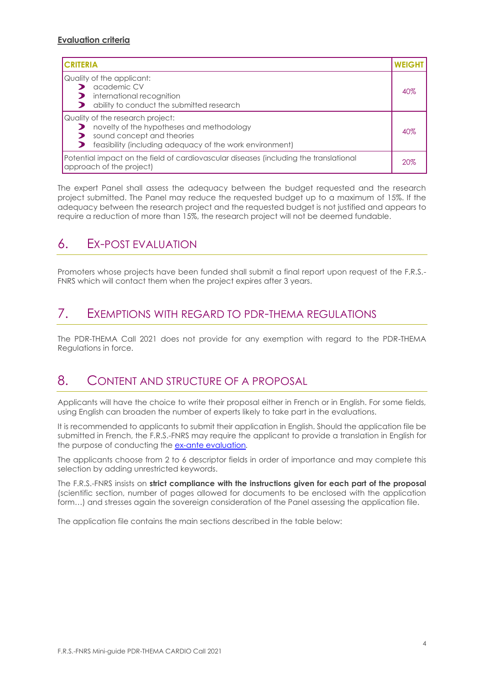### **Evaluation criteria**

| <b>CRITERIA</b>                                                                                                                                                         | <b>WEIGH</b> |
|-------------------------------------------------------------------------------------------------------------------------------------------------------------------------|--------------|
| Quality of the applicant:<br>academic CV<br>international recognition<br>ability to conduct the submitted research                                                      | 40%          |
| Quality of the research project:<br>novelty of the hypotheses and methodology<br>sound concept and theories<br>feasibility (including adequacy of the work environment) |              |
| Potential impact on the field of cardiovascular diseases (including the translational<br>approach of the project)                                                       |              |

The expert Panel shall assess the adequacy between the budget requested and the research project submitted. The Panel may reduce the requested budget up to a maximum of 15%. If the adequacy between the research project and the requested budget is not justified and appears to require a reduction of more than 15%, the research project will not be deemed fundable.

### 6. EX-POST EVALUATION

Promoters whose projects have been funded shall submit a final report upon request of the F.R.S.- FNRS which will contact them when the project expires after 3 years.

### 7. EXEMPTIONS WITH REGARD TO PDR-THEMA REGULATIONS

The PDR-THEMA Call 2021 does not provide for any exemption with regard to the PDR-THEMA Regulations in force.

### 8. CONTENT AND STRUCTURE OF A PROPOSAL

Applicants will have the choice to write their proposal either in French or in English. For some fields, using English can broaden the number of experts likely to take part in the evaluations.

It is recommended to applicants to submit their application in English. Should the application file be submitted in French, the F.R.S.-FNRS may require the applicant to provide a translation in English for the purpose of conducting the [ex-ante evaluation](https://www.frs-fnrs.be/docs/Reglement-et-documents/FRS-FNRS_Guide_Evaluation_EN.pdf)*.* 

The applicants choose from 2 to 6 descriptor fields in order of importance and may complete this selection by adding unrestricted keywords.

The F.R.S.-FNRS insists on **strict compliance with the instructions given for each part of the proposal** (scientific section, number of pages allowed for documents to be enclosed with the application form...) and stresses again the sovereign consideration of the Panel assessing the application file.

The application file contains the main sections described in the table below: